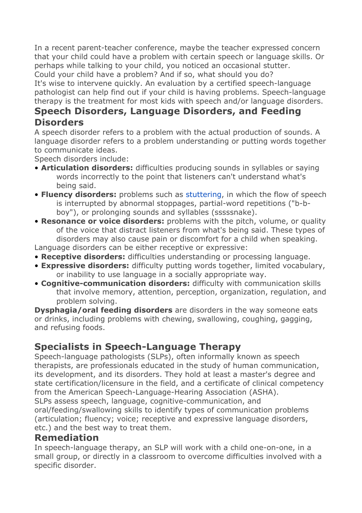In a recent parent-teacher conference, maybe the teacher expressed concern that your child could have a problem with certain speech or language skills. Or perhaps while talking to your child, you noticed an occasional stutter. Could your child have a problem? And if so, what should you do?

It's wise to intervene quickly. An evaluation by a certified speech-language pathologist can help find out if your child is having problems. Speech-language therapy is the treatment for most kids with speech and/or language disorders.

#### **Speech Disorders, Language Disorders, and Feeding Disorders**

A speech disorder refers to a problem with the actual production of sounds. A language disorder refers to a problem understanding or putting words together to communicate ideas.

Speech disorders include:

- **Articulation disorders:** difficulties producing sounds in syllables or saying words incorrectly to the point that listeners can't understand what's being said.
- **Fluency disorders:** problems such as stuttering, in which the flow of speech is interrupted by abnormal stoppages, partial-word repetitions ("b-bboy"), or prolonging sounds and syllables (sssssnake).
- **Resonance or voice disorders:** problems with the pitch, volume, or quality of the voice that distract listeners from what's being said. These types of disorders may also cause pain or discomfort for a child when speaking. Language disorders can be either receptive or expressive:
- **Receptive disorders:** difficulties understanding or processing language.
- **Expressive disorders:** difficulty putting words together, limited vocabulary, or inability to use language in a socially appropriate way.
- **Cognitive-communication disorders:** difficulty with communication skills that involve memory, attention, perception, organization, regulation, and problem solving.

**Dysphagia/oral feeding disorders** are disorders in the way someone eats or drinks, including problems with chewing, swallowing, coughing, gagging, and refusing foods.

# **Specialists in Speech-Language Therapy**

Speech-language pathologists (SLPs), often informally known as speech therapists, are professionals educated in the study of human communication, its development, and its disorders. They hold at least a master's degree and state certification/licensure in the field, and a certificate of clinical competency from the American Speech-Language-Hearing Association (ASHA). SLPs assess speech, language, cognitive-communication, and oral/feeding/swallowing skills to identify types of communication problems (articulation; fluency; voice; receptive and expressive language disorders, etc.) and the best way to treat them.

### **Remediation**

In speech-language therapy, an SLP will work with a child one-on-one, in a small group, or directly in a classroom to overcome difficulties involved with a specific disorder.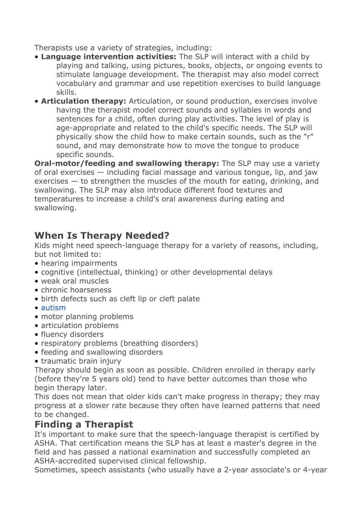Therapists use a variety of strategies, including:

- **Language intervention activities:** The SLP will interact with a child by playing and talking, using pictures, books, objects, or ongoing events to stimulate language development. The therapist may also model correct vocabulary and grammar and use repetition exercises to build language skills.
- **Articulation therapy:** Articulation, or sound production, exercises involve having the therapist model correct sounds and syllables in words and sentences for a child, often during play activities. The level of play is age-appropriate and related to the child's specific needs. The SLP will physically show the child how to make certain sounds, such as the "r" sound, and may demonstrate how to move the tongue to produce specific sounds.

**Oral-motor/feeding and swallowing therapy:** The SLP may use a variety of oral exercises — including facial massage and various tongue, lip, and jaw exercises — to strengthen the muscles of the mouth for eating, drinking, and swallowing. The SLP may also introduce different food textures and temperatures to increase a child's oral awareness during eating and swallowing.

## **When Is Therapy Needed?**

Kids might need speech-language therapy for a variety of reasons, including, but not limited to:

- hearing impairments
- cognitive (intellectual, thinking) or other developmental delays
- weak oral muscles
- chronic hoarseness
- birth defects such as cleft lip or cleft palate
- autism
- motor planning problems
- articulation problems
- fluency disorders
- respiratory problems (breathing disorders)
- feeding and swallowing disorders
- traumatic brain injury

Therapy should begin as soon as possible. Children enrolled in therapy early (before they're 5 years old) tend to have better outcomes than those who begin therapy later.

This does not mean that older kids can't make progress in therapy; they may progress at a slower rate because they often have learned patterns that need to be changed.

### **Finding a Therapist**

It's important to make sure that the speech-language therapist is certified by ASHA. That certification means the SLP has at least a master's degree in the field and has passed a national examination and successfully completed an ASHA-accredited supervised clinical fellowship.

Sometimes, speech assistants (who usually have a 2-year associate's or 4-year